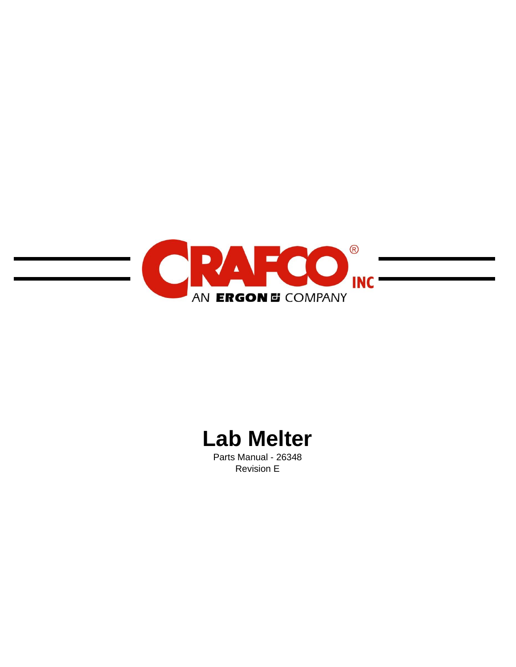

# **Lab Melter**

Parts Manual - 26348 Revision E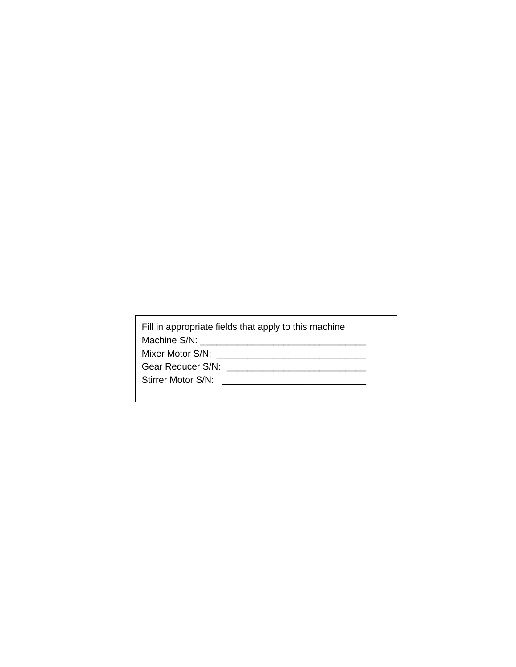| Fill in appropriate fields that apply to this machine |
|-------------------------------------------------------|
|                                                       |
| Mixer Motor S/N:                                      |
| Gear Reducer S/N:                                     |
| Stirrer Motor S/N:                                    |
|                                                       |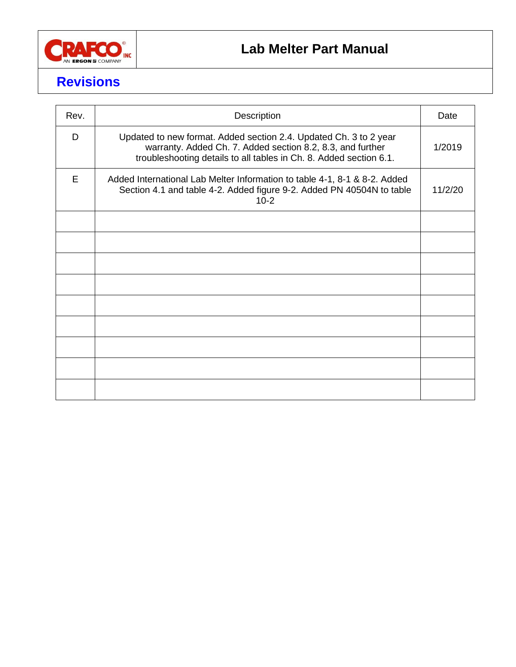

# **Revisions**

| Rev. | Description                                                                                                                                                                                           | Date    |
|------|-------------------------------------------------------------------------------------------------------------------------------------------------------------------------------------------------------|---------|
| D    | Updated to new format. Added section 2.4. Updated Ch. 3 to 2 year<br>warranty. Added Ch. 7. Added section 8.2, 8.3, and further<br>troubleshooting details to all tables in Ch. 8. Added section 6.1. | 1/2019  |
| E    | Added International Lab Melter Information to table 4-1, 8-1 & 8-2. Added<br>Section 4.1 and table 4-2. Added figure 9-2. Added PN 40504N to table<br>$10-2$                                          | 11/2/20 |
|      |                                                                                                                                                                                                       |         |
|      |                                                                                                                                                                                                       |         |
|      |                                                                                                                                                                                                       |         |
|      |                                                                                                                                                                                                       |         |
|      |                                                                                                                                                                                                       |         |
|      |                                                                                                                                                                                                       |         |
|      |                                                                                                                                                                                                       |         |
|      |                                                                                                                                                                                                       |         |
|      |                                                                                                                                                                                                       |         |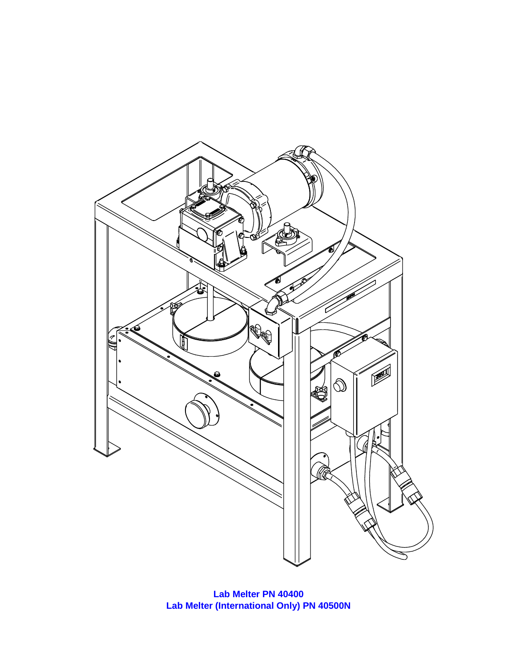

**Lab Melter PN 40400 Lab Melter (International Only) PN 40500N**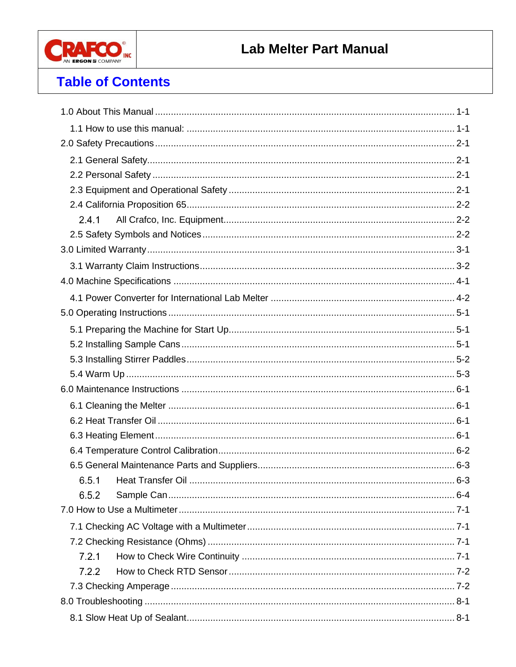

# **Table of Contents**

| 2.4.1 |
|-------|
|       |
|       |
|       |
|       |
|       |
|       |
|       |
|       |
|       |
|       |
|       |
|       |
|       |
|       |
|       |
|       |
|       |
|       |
| 6.5.2 |
|       |
|       |
|       |
| 7.2.1 |
| 7.2.2 |
|       |
|       |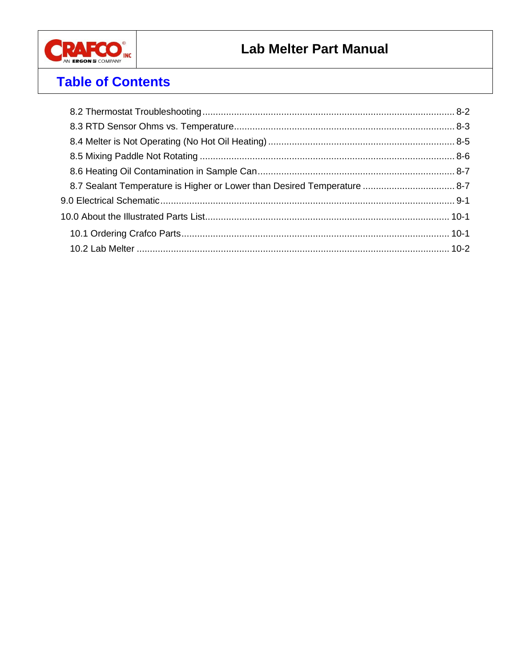

# **Table of Contents**

| 8-7 Sealant Temperature is Higher or Lower than Desired Temperature  8-7 |  |
|--------------------------------------------------------------------------|--|
|                                                                          |  |
|                                                                          |  |
|                                                                          |  |
|                                                                          |  |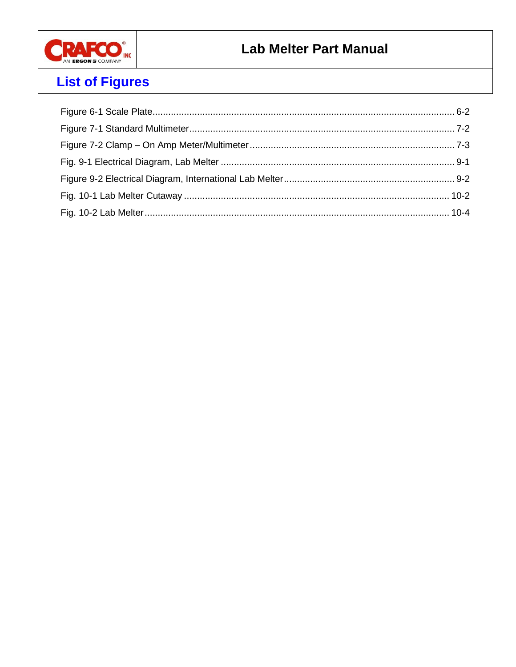

# **List of Figures**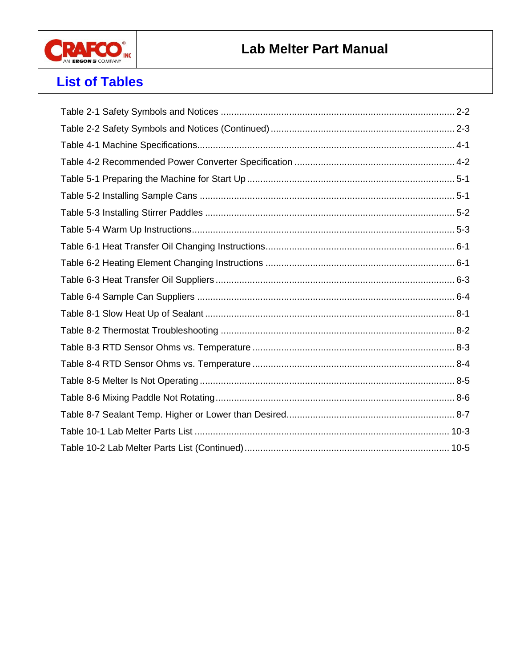

### **List of Tables**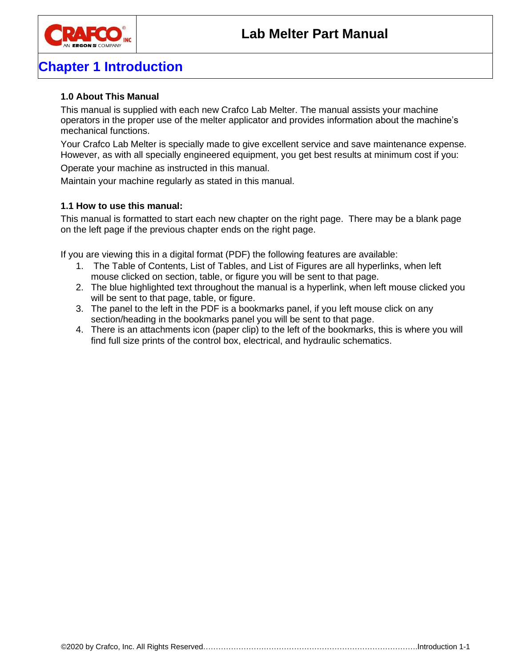

# **Chapter 1 Introduction**

### <span id="page-10-0"></span>**1.0 About This Manual**

This manual is supplied with each new Crafco Lab Melter. The manual assists your machine operators in the proper use of the melter applicator and provides information about the machine's mechanical functions.

Your Crafco Lab Melter is specially made to give excellent service and save maintenance expense. However, as with all specially engineered equipment, you get best results at minimum cost if you:

Operate your machine as instructed in this manual.

Maintain your machine regularly as stated in this manual.

### <span id="page-10-1"></span>**1.1 How to use this manual:**

This manual is formatted to start each new chapter on the right page. There may be a blank page on the left page if the previous chapter ends on the right page.

If you are viewing this in a digital format (PDF) the following features are available:

- 1. The Table of Contents, List of Tables, and List of Figures are all hyperlinks, when left mouse clicked on section, table, or figure you will be sent to that page.
- 2. The blue highlighted text throughout the manual is a hyperlink, when left mouse clicked you will be sent to that page, table, or figure.
- 3. The panel to the left in the PDF is a bookmarks panel, if you left mouse click on any section/heading in the bookmarks panel you will be sent to that page.
- 4. There is an attachments icon (paper clip) to the left of the bookmarks, this is where you will find full size prints of the control box, electrical, and hydraulic schematics.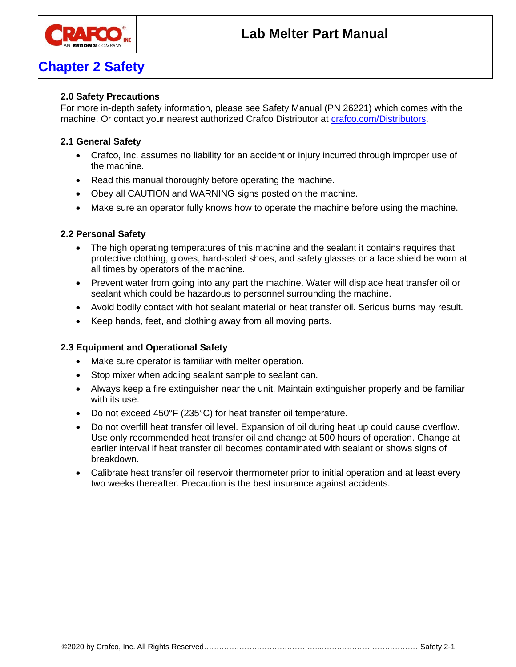

### **Chapter 2 Safety**

### <span id="page-12-0"></span>**2.0 Safety Precautions**

For more in-depth safety information, please see Safety Manual (PN 26221) which comes with the machine. Or contact your nearest authorized Crafco Distributor at [crafco.com/Distributors.](http://www.crafco.com/Distributors%20&%20Centers/Distributors%20and%20Centers.htm)

### <span id="page-12-1"></span>**2.1 General Safety**

- Crafco, Inc. assumes no liability for an accident or injury incurred through improper use of the machine.
- Read this manual thoroughly before operating the machine.
- Obey all CAUTION and WARNING signs posted on the machine.
- Make sure an operator fully knows how to operate the machine before using the machine.

#### <span id="page-12-2"></span>**2.2 Personal Safety**

- The high operating temperatures of this machine and the sealant it contains requires that protective clothing, gloves, hard-soled shoes, and safety glasses or a face shield be worn at all times by operators of the machine.
- Prevent water from going into any part the machine. Water will displace heat transfer oil or sealant which could be hazardous to personnel surrounding the machine.
- Avoid bodily contact with hot sealant material or heat transfer oil. Serious burns may result.
- Keep hands, feet, and clothing away from all moving parts.

### <span id="page-12-3"></span>**2.3 Equipment and Operational Safety**

- Make sure operator is familiar with melter operation.
- Stop mixer when adding sealant sample to sealant can.
- Always keep a fire extinguisher near the unit. Maintain extinguisher properly and be familiar with its use.
- Do not exceed 450°F (235°C) for heat transfer oil temperature.
- Do not overfill heat transfer oil level. Expansion of oil during heat up could cause overflow. Use only recommended heat transfer oil and change at 500 hours of operation. Change at earlier interval if heat transfer oil becomes contaminated with sealant or shows signs of breakdown.
- Calibrate heat transfer oil reservoir thermometer prior to initial operation and at least every two weeks thereafter. Precaution is the best insurance against accidents.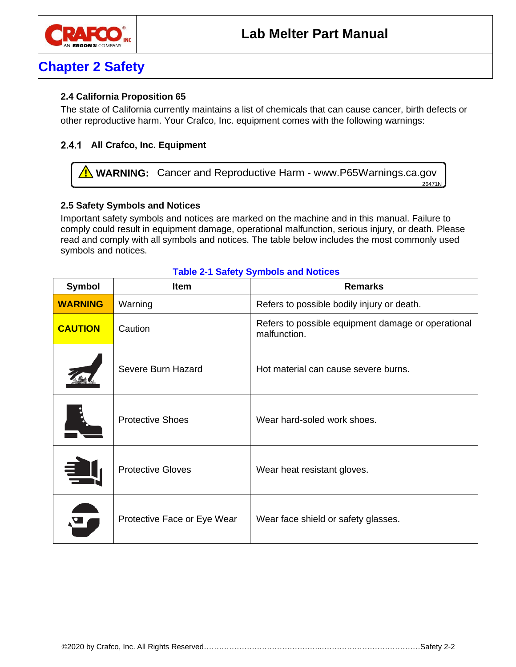

# **Chapter 2 Safety**

### <span id="page-13-0"></span>**2.4 California Proposition 65**

The state of California currently maintains a list of chemicals that can cause cancer, birth defects or other reproductive harm. Your Crafco, Inc. equipment comes with the following warnings:

### <span id="page-13-1"></span>**All Crafco, Inc. Equipment**

**1. WARNING:** Cancer and Reproductive Harm - www.P65Warnings.ca.gov 26471N

### <span id="page-13-2"></span>**2.5 Safety Symbols and Notices**

Important safety symbols and notices are marked on the machine and in this manual. Failure to comply could result in equipment damage, operational malfunction, serious injury, or death. Please read and comply with all symbols and notices. The table below includes the most commonly used symbols and notices.

| <b>Symbol</b>  | Item                        | <b>Remarks</b>                                                     |
|----------------|-----------------------------|--------------------------------------------------------------------|
| <b>WARNING</b> | Warning                     | Refers to possible bodily injury or death.                         |
| <b>CAUTION</b> | Caution                     | Refers to possible equipment damage or operational<br>malfunction. |
|                | Severe Burn Hazard          | Hot material can cause severe burns.                               |
|                | <b>Protective Shoes</b>     | Wear hard-soled work shoes.                                        |
|                | <b>Protective Gloves</b>    | Wear heat resistant gloves.                                        |
|                | Protective Face or Eye Wear | Wear face shield or safety glasses.                                |

#### <span id="page-13-3"></span>**Table 2-1 Safety Symbols and Notices**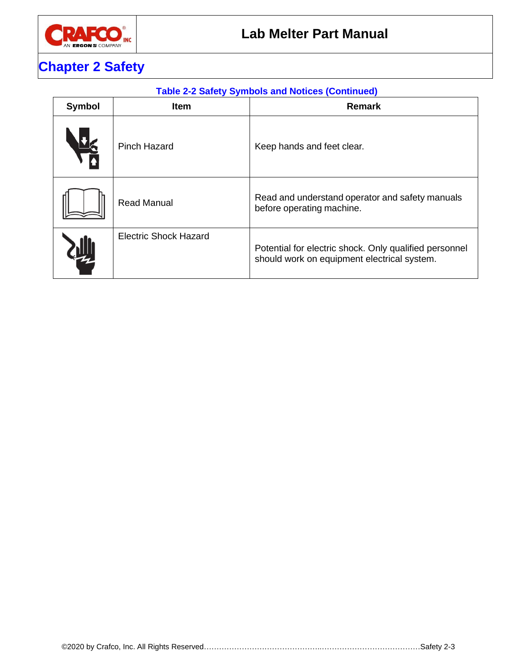

# **Chapter 2 Safety**

### <span id="page-14-0"></span>**Table 2-2 Safety Symbols and Notices (Continued)**

| Symbol     | <b>Item</b>                  | <b>Remark</b>                                                                                         |
|------------|------------------------------|-------------------------------------------------------------------------------------------------------|
| <b>HEA</b> | <b>Pinch Hazard</b>          | Keep hands and feet clear.                                                                            |
|            | <b>Read Manual</b>           | Read and understand operator and safety manuals<br>before operating machine.                          |
|            | <b>Electric Shock Hazard</b> | Potential for electric shock. Only qualified personnel<br>should work on equipment electrical system. |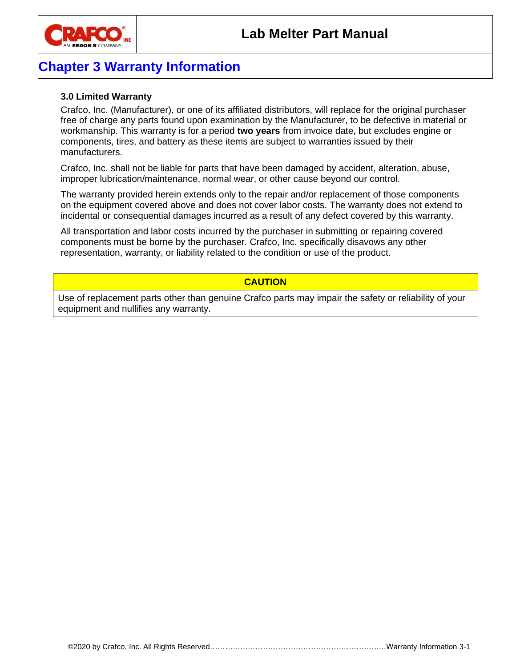

### **Chapter 3 Warranty Information**

### <span id="page-16-0"></span>**3.0 Limited Warranty**

Crafco, Inc. (Manufacturer), or one of its affiliated distributors, will replace for the original purchaser free of charge any parts found upon examination by the Manufacturer, to be defective in material or workmanship. This warranty is for a period **two years** from invoice date, but excludes engine or components, tires, and battery as these items are subject to warranties issued by their manufacturers.

Crafco, Inc. shall not be liable for parts that have been damaged by accident, alteration, abuse, improper lubrication/maintenance, normal wear, or other cause beyond our control.

The warranty provided herein extends only to the repair and/or replacement of those components on the equipment covered above and does not cover labor costs. The warranty does not extend to incidental or consequential damages incurred as a result of any defect covered by this warranty.

All transportation and labor costs incurred by the purchaser in submitting or repairing covered components must be borne by the purchaser. Crafco, Inc. specifically disavows any other representation, warranty, or liability related to the condition or use of the product.

### **CAUTION**

Use of replacement parts other than genuine Crafco parts may impair the safety or reliability of your equipment and nullifies any warranty.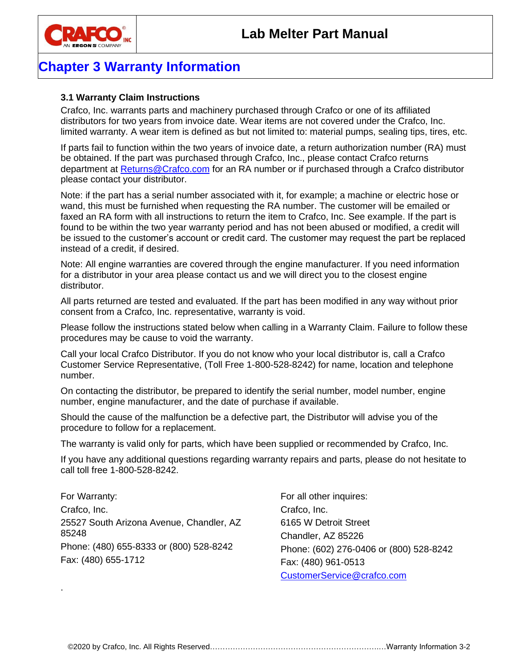

### **Chapter 3 Warranty Information**

### <span id="page-17-0"></span>**3.1 Warranty Claim Instructions**

Crafco, Inc. warrants parts and machinery purchased through Crafco or one of its affiliated distributors for two years from invoice date. Wear items are not covered under the Crafco, Inc. limited warranty. A wear item is defined as but not limited to: material pumps, sealing tips, tires, etc.

If parts fail to function within the two years of invoice date, a return authorization number (RA) must be obtained. If the part was purchased through Crafco, Inc., please contact Crafco returns department at [Returns@Crafco.com](mailto:Returns@Crafco.com) for an RA number or if purchased through a Crafco distributor please contact your distributor.

Note: if the part has a serial number associated with it, for example; a machine or electric hose or wand, this must be furnished when requesting the RA number. The customer will be emailed or faxed an RA form with all instructions to return the item to Crafco, Inc. See example. If the part is found to be within the two year warranty period and has not been abused or modified, a credit will be issued to the customer's account or credit card. The customer may request the part be replaced instead of a credit, if desired.

Note: All engine warranties are covered through the engine manufacturer. If you need information for a distributor in your area please contact us and we will direct you to the closest engine distributor.

All parts returned are tested and evaluated. If the part has been modified in any way without prior consent from a Crafco, Inc. representative, warranty is void.

Please follow the instructions stated below when calling in a Warranty Claim. Failure to follow these procedures may be cause to void the warranty.

Call your local Crafco Distributor. If you do not know who your local distributor is, call a Crafco Customer Service Representative, (Toll Free 1-800-528-8242) for name, location and telephone number.

On contacting the distributor, be prepared to identify the serial number, model number, engine number, engine manufacturer, and the date of purchase if available.

Should the cause of the malfunction be a defective part, the Distributor will advise you of the procedure to follow for a replacement.

The warranty is valid only for parts, which have been supplied or recommended by Crafco, Inc.

If you have any additional questions regarding warranty repairs and parts, please do not hesitate to call toll free 1-800-528-8242.

For Warranty: Crafco, Inc. 25527 South Arizona Avenue, Chandler, AZ 85248 Phone: (480) 655-8333 or (800) 528-8242 Fax: (480) 655-1712

.

For all other inquires: Crafco, Inc. 6165 W Detroit Street Chandler, AZ 85226 Phone: (602) 276-0406 or (800) 528-8242 Fax: (480) 961-0513 [CustomerService@crafco.com](mailto:CustomerService@crafco.com)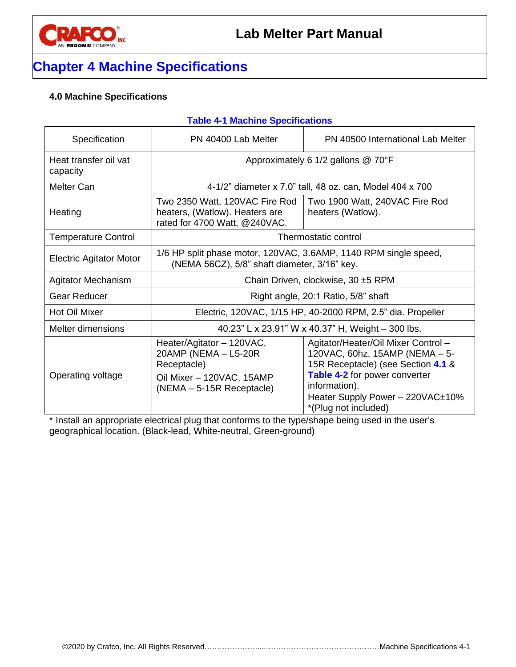

## **Chapter 4 Machine Specifications**

### <span id="page-18-0"></span>**4.0 Machine Specifications**

### <span id="page-18-1"></span>**Table 4-1 Machine Specifications**

| Specification                                              | PN 40400 Lab Melter                                                                                                          | PN 40500 International Lab Melter                                                                                                                                                                                                |  |
|------------------------------------------------------------|------------------------------------------------------------------------------------------------------------------------------|----------------------------------------------------------------------------------------------------------------------------------------------------------------------------------------------------------------------------------|--|
| Heat transfer oil vat<br>capacity                          | Approximately 6 1/2 gallons @ 70°F                                                                                           |                                                                                                                                                                                                                                  |  |
| <b>Melter Can</b>                                          | 4-1/2" diameter x 7.0" tall, 48 oz. can, Model 404 x 700                                                                     |                                                                                                                                                                                                                                  |  |
| Heating                                                    | Two 2350 Watt, 120VAC Fire Rod<br>heaters, (Watlow). Heaters are<br>rated for 4700 Watt, @240VAC.                            | Two 1900 Watt, 240VAC Fire Rod<br>heaters (Watlow).                                                                                                                                                                              |  |
| <b>Temperature Control</b>                                 | Thermostatic control                                                                                                         |                                                                                                                                                                                                                                  |  |
| <b>Electric Agitator Motor</b>                             | 1/6 HP split phase motor, 120VAC, 3.6AMP, 1140 RPM single speed,<br>(NEMA 56CZ), 5/8" shaft diameter, 3/16" key.             |                                                                                                                                                                                                                                  |  |
| Agitator Mechanism                                         | Chain Driven, clockwise, 30 ±5 RPM                                                                                           |                                                                                                                                                                                                                                  |  |
| <b>Gear Reducer</b><br>Right angle, 20:1 Ratio, 5/8" shaft |                                                                                                                              |                                                                                                                                                                                                                                  |  |
| Hot Oil Mixer                                              | Electric, 120VAC, 1/15 HP, 40-2000 RPM, 2.5" dia. Propeller                                                                  |                                                                                                                                                                                                                                  |  |
| Melter dimensions                                          | 40.23" L x 23.91" W x 40.37" H, Weight - 300 lbs.                                                                            |                                                                                                                                                                                                                                  |  |
| Operating voltage                                          | Heater/Agitator - 120VAC,<br>20AMP (NEMA - L5-20R<br>Receptacle)<br>Oil Mixer - 120VAC, 15AMP<br>$(NEMA - 5-15R$ Receptacle) | Agitator/Heater/Oil Mixer Control -<br>120VAC, 60hz, 15AMP (NEMA - 5-<br>15R Receptacle) (see Section 4.1 &<br><b>Table 4-2</b> for power converter<br>information).<br>Heater Supply Power - 220VAC±10%<br>*(Plug not included) |  |

\* Install an appropriate electrical plug that conforms to the type/shape being used in the user's geographical location. (Black-lead, White-neutral, Green-ground)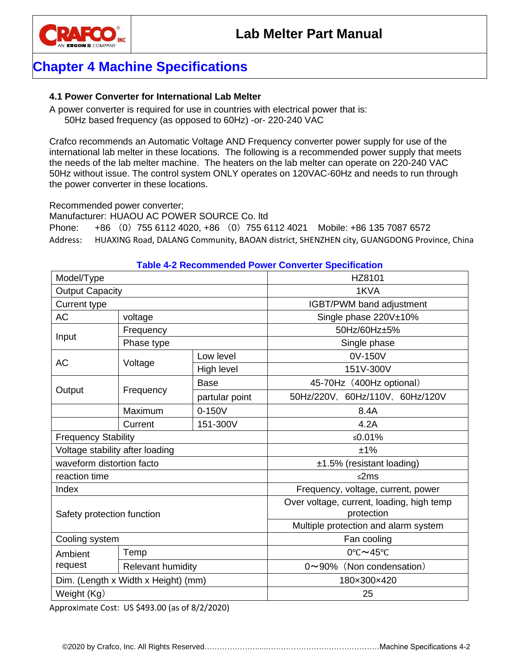

### **Chapter 4 Machine Specifications**

### <span id="page-19-0"></span>**4.1 Power Converter for International Lab Melter**

A power converter is required for use in countries with electrical power that is: 50Hz based frequency (as opposed to 60Hz) -or- 220-240 VAC

Crafco recommends an Automatic Voltage AND Frequency converter power supply for use of the international lab melter in these locations. The following is a recommended power supply that meets the needs of the lab melter machine. The heaters on the lab melter can operate on 220-240 VAC 50Hz without issue. The control system ONLY operates on 120VAC-60Hz and needs to run through the power converter in these locations.

Recommended power converter;

Manufacturer: HUAOU AC POWER SOURCE Co. ltd

Phone: +86 (0) 755 6112 4020, +86 (0) 755 6112 4021 Mobile: +86 135 7087 6572 Address: HUAXING Road, DALANG Community, BAOAN district, SHENZHEN city, GUANGDONG Province, China

#### <span id="page-19-1"></span>**Table 4-2 Recommended Power Converter Specification**

| Model/Type                          |                          |                | HZ8101                                                  |
|-------------------------------------|--------------------------|----------------|---------------------------------------------------------|
| <b>Output Capacity</b>              |                          |                | 1KVA                                                    |
| <b>Current type</b>                 |                          |                | IGBT/PWM band adjustment                                |
| <b>AC</b>                           | voltage                  |                | Single phase 220V±10%                                   |
|                                     | Frequency                |                | 50Hz/60Hz±5%                                            |
| Input                               | Phase type               |                | Single phase                                            |
| <b>AC</b>                           | Voltage                  | Low level      | 0V-150V                                                 |
|                                     |                          | High level     | 151V-300V                                               |
|                                     |                          | <b>Base</b>    | 45-70Hz (400Hz optional)                                |
| Output                              | Frequency                | partular point | 50Hz/220V, 60Hz/110V, 60Hz/120V                         |
|                                     | Maximum                  | $0 - 150V$     | 8.4A                                                    |
|                                     | Current                  | 151-300V       | 4.2A                                                    |
| <b>Frequency Stability</b>          |                          |                | ≤0.01%                                                  |
| Voltage stability after loading     |                          |                | ±1%                                                     |
| waveform distortion facto           |                          |                | ±1.5% (resistant loading)                               |
| reaction time                       |                          |                | ≤2ms                                                    |
| Index                               |                          |                | Frequency, voltage, current, power                      |
| Safety protection function          |                          |                | Over voltage, current, loading, high temp<br>protection |
|                                     |                          |                | Multiple protection and alarm system                    |
| Cooling system                      |                          |                | Fan cooling                                             |
| Ambient                             | Temp                     |                | 0°C~45°C                                                |
| request                             | <b>Relevant humidity</b> |                | 0~90% (Non condensation)                                |
| Dim. (Length x Width x Height) (mm) |                          |                | 180×300×420                                             |
| Weight (Kg)                         |                          |                | 25                                                      |

Approximate Cost: US \$493.00 (as of 8/2/2020)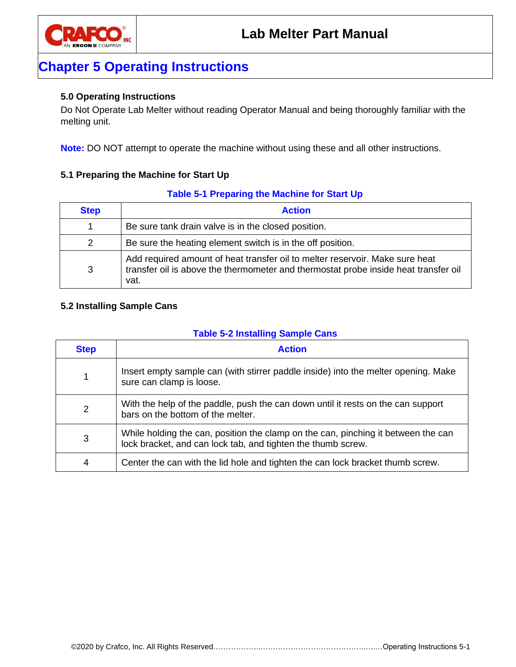

### **Chapter 5 Operating Instructions**

#### <span id="page-20-0"></span>**5.0 Operating Instructions**

Do Not Operate Lab Melter without reading Operator Manual and being thoroughly familiar with the melting unit.

**Note:** DO NOT attempt to operate the machine without using these and all other instructions.

#### <span id="page-20-1"></span>**5.1 Preparing the Machine for Start Up**

#### **Table 5-1 Preparing the Machine for Start Up**

<span id="page-20-3"></span>

| <b>Step</b> | <b>Action</b>                                                                                                                                                               |
|-------------|-----------------------------------------------------------------------------------------------------------------------------------------------------------------------------|
| 1.          | Be sure tank drain valve is in the closed position.                                                                                                                         |
| 2           | Be sure the heating element switch is in the off position.                                                                                                                  |
| 3           | Add required amount of heat transfer oil to melter reservoir. Make sure heat<br>transfer oil is above the thermometer and thermostat probe inside heat transfer oil<br>vat. |

### <span id="page-20-2"></span>**5.2 Installing Sample Cans**

#### **Table 5-2 Installing Sample Cans**

<span id="page-20-4"></span>

| <b>Step</b> | <b>Action</b>                                                                                                                                     |
|-------------|---------------------------------------------------------------------------------------------------------------------------------------------------|
|             | Insert empty sample can (with stirrer paddle inside) into the melter opening. Make<br>sure can clamp is loose.                                    |
| 2           | With the help of the paddle, push the can down until it rests on the can support<br>bars on the bottom of the melter.                             |
| 3           | While holding the can, position the clamp on the can, pinching it between the can<br>lock bracket, and can lock tab, and tighten the thumb screw. |
| 4           | Center the can with the lid hole and tighten the can lock bracket thumb screw.                                                                    |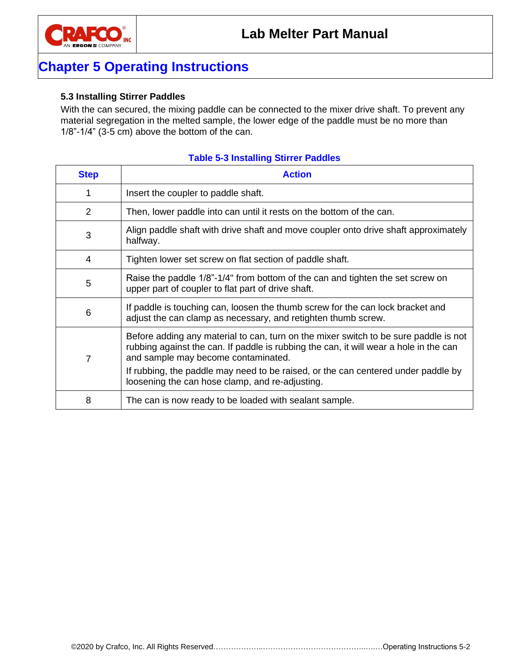

# **Chapter 5 Operating Instructions**

#### <span id="page-21-0"></span>**5.3 Installing Stirrer Paddles**

With the can secured, the mixing paddle can be connected to the mixer drive shaft. To prevent any material segregation in the melted sample, the lower edge of the paddle must be no more than 1/8"-1/4" (3-5 cm) above the bottom of the can.

<span id="page-21-1"></span>

| <b>Step</b>    | <b>Action</b>                                                                                                                                                                                                        |
|----------------|----------------------------------------------------------------------------------------------------------------------------------------------------------------------------------------------------------------------|
|                | Insert the coupler to paddle shaft.                                                                                                                                                                                  |
| $\overline{2}$ | Then, lower paddle into can until it rests on the bottom of the can.                                                                                                                                                 |
| 3              | Align paddle shaft with drive shaft and move coupler onto drive shaft approximately<br>halfway.                                                                                                                      |
| 4              | Tighten lower set screw on flat section of paddle shaft.                                                                                                                                                             |
| 5              | Raise the paddle 1/8"-1/4" from bottom of the can and tighten the set screw on<br>upper part of coupler to flat part of drive shaft.                                                                                 |
| 6              | If paddle is touching can, loosen the thumb screw for the can lock bracket and<br>adjust the can clamp as necessary, and retighten thumb screw.                                                                      |
| $\overline{7}$ | Before adding any material to can, turn on the mixer switch to be sure paddle is not<br>rubbing against the can. If paddle is rubbing the can, it will wear a hole in the can<br>and sample may become contaminated. |
|                | If rubbing, the paddle may need to be raised, or the can centered under paddle by<br>loosening the can hose clamp, and re-adjusting.                                                                                 |
| 8              | The can is now ready to be loaded with sealant sample.                                                                                                                                                               |

#### **Table 5-3 Installing Stirrer Paddles**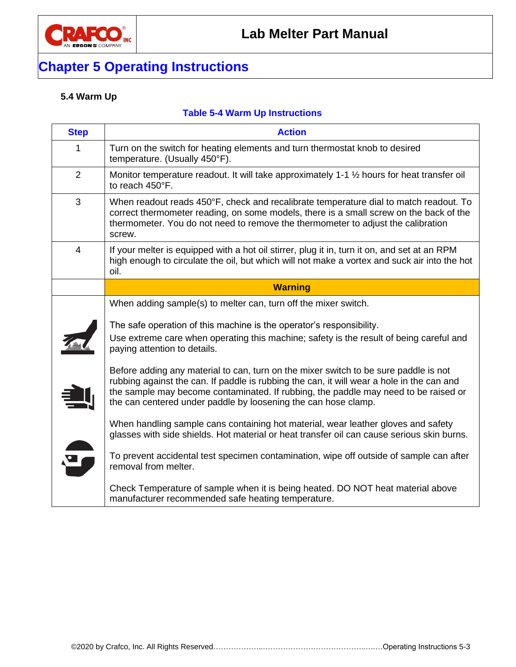

# **Chapter 5 Operating Instructions**

### <span id="page-22-0"></span>**5.4 Warm Up**

### **Table 5-4 Warm Up Instructions**

<span id="page-22-1"></span>

| <b>Step</b>    | <b>Action</b>                                                                                                                                                                                                                                                                                                                              |
|----------------|--------------------------------------------------------------------------------------------------------------------------------------------------------------------------------------------------------------------------------------------------------------------------------------------------------------------------------------------|
| 1              | Turn on the switch for heating elements and turn thermostat knob to desired<br>temperature. (Usually 450°F).                                                                                                                                                                                                                               |
| $\overline{2}$ | Monitor temperature readout. It will take approximately 1-1 1/2 hours for heat transfer oil<br>to reach 450°F.                                                                                                                                                                                                                             |
| 3              | When readout reads 450°F, check and recalibrate temperature dial to match readout. To<br>correct thermometer reading, on some models, there is a small screw on the back of the<br>thermometer. You do not need to remove the thermometer to adjust the calibration<br>screw.                                                              |
| $\overline{4}$ | If your melter is equipped with a hot oil stirrer, plug it in, turn it on, and set at an RPM<br>high enough to circulate the oil, but which will not make a vortex and suck air into the hot<br>oil.                                                                                                                                       |
|                | <b>Warning</b>                                                                                                                                                                                                                                                                                                                             |
|                | When adding sample(s) to melter can, turn off the mixer switch.                                                                                                                                                                                                                                                                            |
|                | The safe operation of this machine is the operator's responsibility.<br>Use extreme care when operating this machine; safety is the result of being careful and<br>paying attention to details.                                                                                                                                            |
|                | Before adding any material to can, turn on the mixer switch to be sure paddle is not<br>rubbing against the can. If paddle is rubbing the can, it will wear a hole in the can and<br>the sample may become contaminated. If rubbing, the paddle may need to be raised or<br>the can centered under paddle by loosening the can hose clamp. |
|                | When handling sample cans containing hot material, wear leather gloves and safety<br>glasses with side shields. Hot material or heat transfer oil can cause serious skin burns.                                                                                                                                                            |
|                | To prevent accidental test specimen contamination, wipe off outside of sample can after<br>removal from melter.                                                                                                                                                                                                                            |
|                | Check Temperature of sample when it is being heated. DO NOT heat material above<br>manufacturer recommended safe heating temperature.                                                                                                                                                                                                      |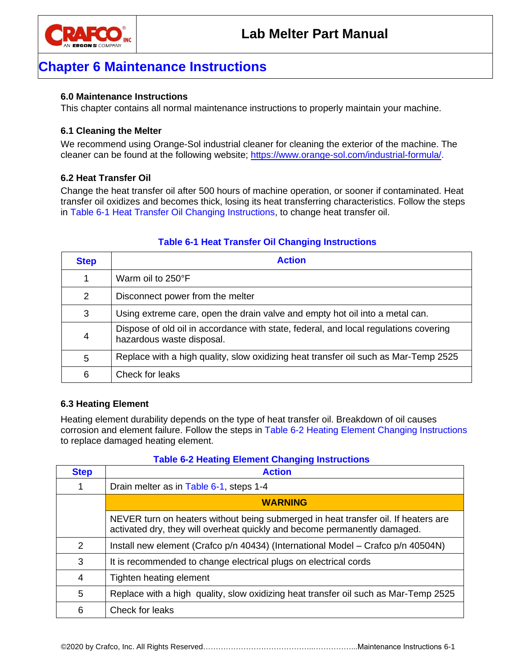

### <span id="page-24-0"></span>**6.0 Maintenance Instructions**

This chapter contains all normal maintenance instructions to properly maintain your machine.

### <span id="page-24-1"></span>**6.1 Cleaning the Melter**

We recommend using Orange-Sol industrial cleaner for cleaning the exterior of the machine. The cleaner can be found at the following website; [https://www.orange-sol.com/industrial-formula/.](https://www.orange-sol.com/industrial-formula/)

### <span id="page-24-2"></span>**6.2 Heat Transfer Oil**

Change the heat transfer oil after 500 hours of machine operation, or sooner if contaminated. Heat transfer oil oxidizes and becomes thick, losing its heat transferring characteristics. Follow the steps in Table 6-1 [Heat Transfer Oil Changing Instructions,](#page-24-4) to change heat transfer oil.

| <b>Step</b>              | <b>Action</b>                                                                                                     |
|--------------------------|-------------------------------------------------------------------------------------------------------------------|
|                          | Warm oil to 250°F                                                                                                 |
| 2                        | Disconnect power from the melter                                                                                  |
| 3                        | Using extreme care, open the drain valve and empty hot oil into a metal can.                                      |
| $\overline{\mathcal{A}}$ | Dispose of old oil in accordance with state, federal, and local regulations covering<br>hazardous waste disposal. |
| 5                        | Replace with a high quality, slow oxidizing heat transfer oil such as Mar-Temp 2525                               |
| 6                        | Check for leaks                                                                                                   |

### <span id="page-24-4"></span>**Table 6-1 Heat Transfer Oil Changing Instructions**

### <span id="page-24-3"></span>**6.3 Heating Element**

Heating element durability depends on the type of heat transfer oil. Breakdown of oil causes corrosion and element failure. Follow the steps in Table 6-2 [Heating Element Changing Instructions](#page-24-5) to replace damaged heating element.

### **Table 6-2 Heating Element Changing Instructions**

<span id="page-24-5"></span>

| <b>Step</b> | <b>Action</b>                                                                                                                                                   |
|-------------|-----------------------------------------------------------------------------------------------------------------------------------------------------------------|
|             | Drain melter as in Table 6-1, steps 1-4                                                                                                                         |
|             | <b>WARNING</b>                                                                                                                                                  |
|             | NEVER turn on heaters without being submerged in heat transfer oil. If heaters are<br>activated dry, they will overheat quickly and become permanently damaged. |
| 2           | Install new element (Crafco p/n 40434) (International Model – Crafco p/n 40504N)                                                                                |
| 3           | It is recommended to change electrical plugs on electrical cords                                                                                                |
| 4           | Tighten heating element                                                                                                                                         |
| 5           | Replace with a high quality, slow oxidizing heat transfer oil such as Mar-Temp 2525                                                                             |
| 6           | Check for leaks                                                                                                                                                 |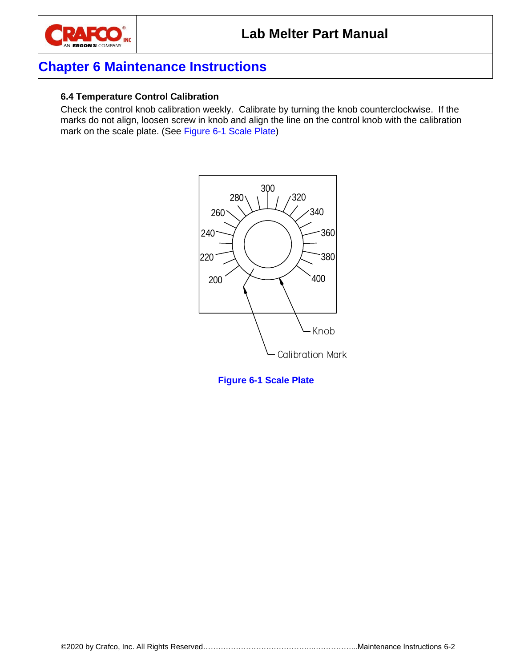

### <span id="page-25-0"></span>**6.4 Temperature Control Calibration**

Check the control knob calibration weekly. Calibrate by turning the knob counterclockwise. If the marks do not align, loosen screw in knob and align the line on the control knob with the calibration mark on the scale plate. (See Figure 6-1 [Scale Plate\)](#page-25-1)



<span id="page-25-1"></span>**Figure 6-1 Scale Plate**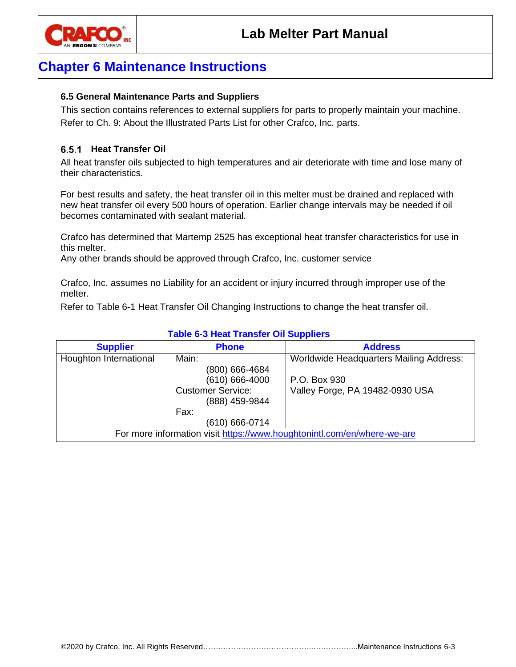

### <span id="page-26-0"></span>**6.5 General Maintenance Parts and Suppliers**

This section contains references to external suppliers for parts to properly maintain your machine. Refer to Ch. 9: [About the Illustrated Parts List](#page-42-0) for other Crafco, Inc. parts.

#### <span id="page-26-1"></span>**Heat Transfer Oil**

All heat transfer oils subjected to high temperatures and air deteriorate with time and lose many of their characteristics.

For best results and safety, the heat transfer oil in this melter must be drained and replaced with new heat transfer oil every 500 hours of operation. Earlier change intervals may be needed if oil becomes contaminated with sealant material.

Crafco has determined that Martemp 2525 has exceptional heat transfer characteristics for use in this melter.

Any other brands should be approved through Crafco, Inc. customer service

Crafco, Inc. assumes no Liability for an accident or injury incurred through improper use of the melter.

Refer to Table 6-1 [Heat Transfer Oil Changing Instructions](#page-24-4) to change the heat transfer oil.

| <b>Supplier</b>                                                         | <b>Phone</b>             | <b>Address</b>                                 |  |  |  |  |  |
|-------------------------------------------------------------------------|--------------------------|------------------------------------------------|--|--|--|--|--|
| Houghton International                                                  | Main:                    | <b>Worldwide Headquarters Mailing Address:</b> |  |  |  |  |  |
|                                                                         | (800) 666-4684           |                                                |  |  |  |  |  |
|                                                                         | $(610) 666 - 4000$       | P.O. Box 930                                   |  |  |  |  |  |
|                                                                         | <b>Customer Service:</b> | Valley Forge, PA 19482-0930 USA                |  |  |  |  |  |
|                                                                         | (888) 459-9844           |                                                |  |  |  |  |  |
|                                                                         | Fax:                     |                                                |  |  |  |  |  |
|                                                                         | (610) 666-0714           |                                                |  |  |  |  |  |
| For more information visit https://www.houghtonintl.com/en/where-we-are |                          |                                                |  |  |  |  |  |

#### <span id="page-26-2"></span>**Table 6-3 Heat Transfer Oil Suppliers**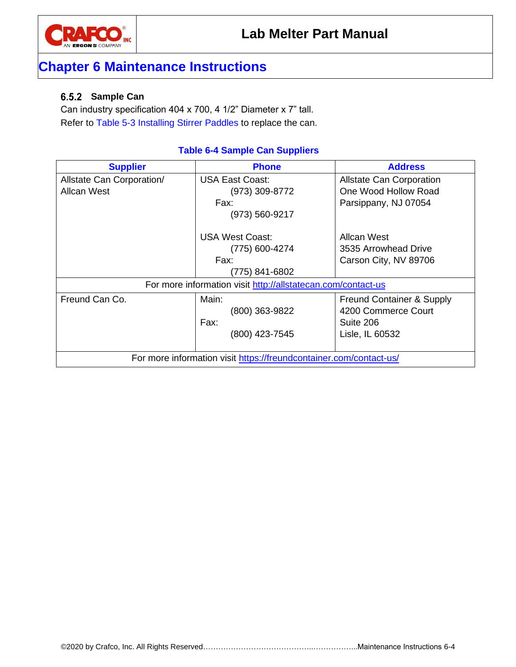

### <span id="page-27-0"></span>**Sample Can**

Can industry specification 404 x 700, 4 1/2" Diameter x 7" tall. Refer to Table 5-3 [Installing Stirrer Paddles](#page-21-1) to replace the can.

### **Table 6-4 Sample Can Suppliers**

<span id="page-27-1"></span>

| <b>Supplier</b>                                                    | <b>Phone</b>                                                 | <b>Address</b>                       |  |  |  |  |
|--------------------------------------------------------------------|--------------------------------------------------------------|--------------------------------------|--|--|--|--|
| Allstate Can Corporation/                                          | USA East Coast:                                              | <b>Allstate Can Corporation</b>      |  |  |  |  |
| <b>Allcan West</b>                                                 | (973) 309-8772                                               | One Wood Hollow Road                 |  |  |  |  |
|                                                                    | Fax:                                                         | Parsippany, NJ 07054                 |  |  |  |  |
|                                                                    | (973) 560-9217                                               |                                      |  |  |  |  |
|                                                                    | USA West Coast:                                              | Allcan West                          |  |  |  |  |
|                                                                    | (775) 600-4274                                               | 3535 Arrowhead Drive                 |  |  |  |  |
|                                                                    | Fax:                                                         | Carson City, NV 89706                |  |  |  |  |
|                                                                    | (775) 841-6802                                               |                                      |  |  |  |  |
|                                                                    | For more information visit http://allstatecan.com/contact-us |                                      |  |  |  |  |
| Freund Can Co.                                                     | Main:                                                        | <b>Freund Container &amp; Supply</b> |  |  |  |  |
|                                                                    | (800) 363-9822                                               | 4200 Commerce Court                  |  |  |  |  |
|                                                                    | Fax:                                                         | Suite 206                            |  |  |  |  |
|                                                                    | (800) 423-7545                                               | Lisle, IL 60532                      |  |  |  |  |
|                                                                    |                                                              |                                      |  |  |  |  |
| For more information visit https://freundcontainer.com/contact-us/ |                                                              |                                      |  |  |  |  |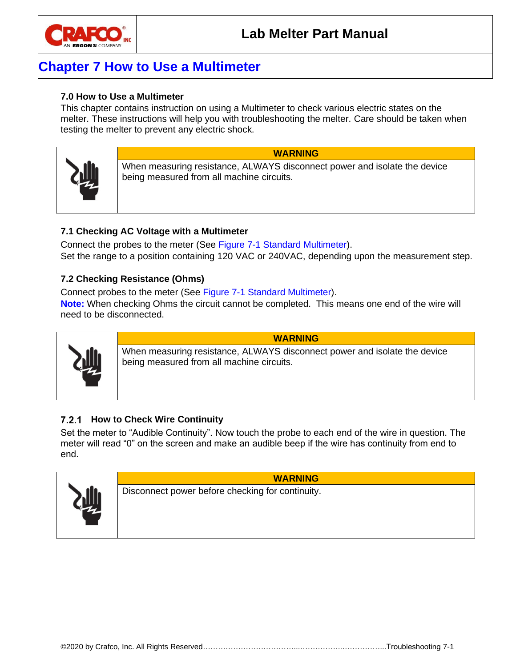

### **Chapter 7 How to Use a Multimeter**

### <span id="page-28-0"></span>**7.0 How to Use a Multimeter**

This chapter contains instruction on using a Multimeter to check various electric states on the melter. These instructions will help you with troubleshooting the melter. Care should be taken when testing the melter to prevent any electric shock.



**WARNING** When measuring resistance, ALWAYS disconnect power and isolate the device

### <span id="page-28-1"></span>**7.1 Checking AC Voltage with a Multimeter**

Connect the probes to the meter (See Figure 7-1 [Standard Multimeter\)](#page-29-2). Set the range to a position containing 120 VAC or 240VAC, depending upon the measurement step.

### <span id="page-28-2"></span>**7.2 Checking Resistance (Ohms)**

Connect probes to the meter (See Figure 7-1 [Standard Multimeter\)](#page-29-2).

being measured from all machine circuits.

**Note:** When checking Ohms the circuit cannot be completed. This means one end of the wire will need to be disconnected.



**WARNING** When measuring resistance, ALWAYS disconnect power and isolate the device being measured from all machine circuits.

### <span id="page-28-3"></span>**7.2.1 How to Check Wire Continuity**

Set the meter to "Audible Continuity". Now touch the probe to each end of the wire in question. The meter will read "0" on the screen and make an audible beep if the wire has continuity from end to end.



**WARNING**

Disconnect power before checking for continuity.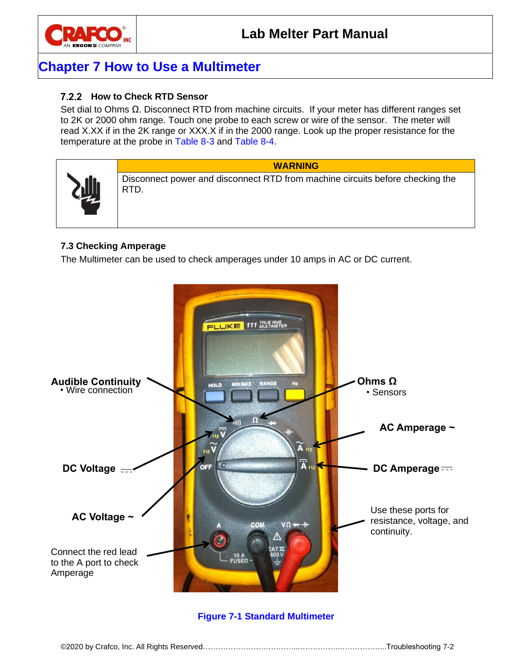

### **Chapter 7 How to Use a Multimeter**

### <span id="page-29-0"></span>**How to Check RTD Sensor**

Set dial to Ohms Ω. Disconnect RTD from machine circuits. If your meter has different ranges set to 2K or 2000 ohm range. Touch one probe to each screw or wire of the sensor. The meter will read X.XX if in the 2K range or XXX.X if in the 2000 range. Look up the proper resistance for the temperature at the probe in [Table 8-3](#page-34-1) and [Table 8-4.](#page-35-0)



Disconnect power and disconnect RTD from machine circuits before checking the RTD.

**WARNING**

### <span id="page-29-1"></span>**7.3 Checking Amperage**

The Multimeter can be used to check amperages under 10 amps in AC or DC current.



### <span id="page-29-2"></span>**Figure 7-1 Standard Multimeter**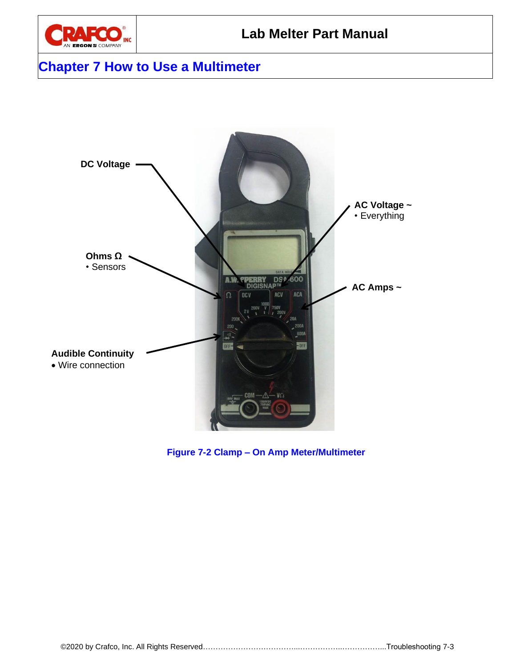

### **Chapter 7 How to Use a Multimeter**



<span id="page-30-0"></span>**Figure 7-2 Clamp – On Amp Meter/Multimeter**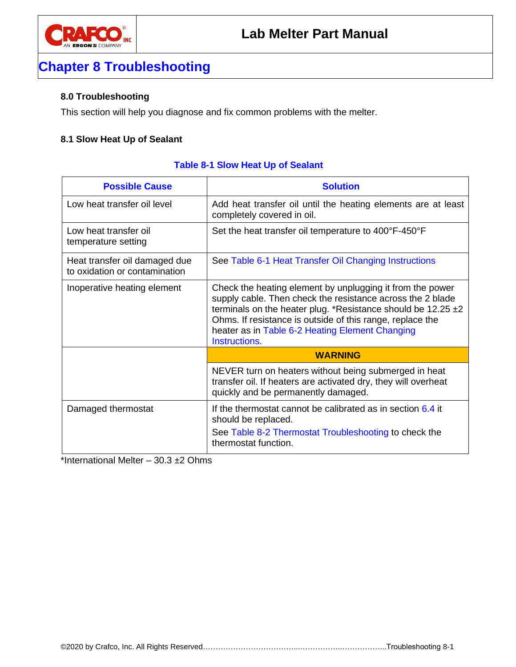

### <span id="page-32-0"></span>**8.0 Troubleshooting**

This section will help you diagnose and fix common problems with the melter.

#### <span id="page-32-1"></span>**8.1 Slow Heat Up of Sealant**

<span id="page-32-2"></span>

| <b>Possible Cause</b>                                          | <b>Solution</b>                                                                                                                                                                                                                                                                                                                     |
|----------------------------------------------------------------|-------------------------------------------------------------------------------------------------------------------------------------------------------------------------------------------------------------------------------------------------------------------------------------------------------------------------------------|
| Low heat transfer oil level                                    | Add heat transfer oil until the heating elements are at least<br>completely covered in oil.                                                                                                                                                                                                                                         |
| Low heat transfer oil<br>temperature setting                   | Set the heat transfer oil temperature to 400°F-450°F                                                                                                                                                                                                                                                                                |
| Heat transfer oil damaged due<br>to oxidation or contamination | See Table 6-1 Heat Transfer Oil Changing Instructions                                                                                                                                                                                                                                                                               |
| Inoperative heating element                                    | Check the heating element by unplugging it from the power<br>supply cable. Then check the resistance across the 2 blade<br>terminals on the heater plug. *Resistance should be $12.25 \pm 2$<br>Ohms. If resistance is outside of this range, replace the<br>heater as in Table 6-2 Heating Element Changing<br><b>Instructions</b> |
|                                                                | <b>WARNING</b>                                                                                                                                                                                                                                                                                                                      |
|                                                                | NEVER turn on heaters without being submerged in heat<br>transfer oil. If heaters are activated dry, they will overheat<br>quickly and be permanently damaged.                                                                                                                                                                      |
| Damaged thermostat                                             | If the thermostat cannot be calibrated as in section $6.4$ it<br>should be replaced.<br>See Table 8-2 Thermostat Troubleshooting to check the<br>thermostat function.                                                                                                                                                               |

### **Table 8-1 Slow Heat Up of Sealant**

\*International Melter – 30.3 ±2 Ohms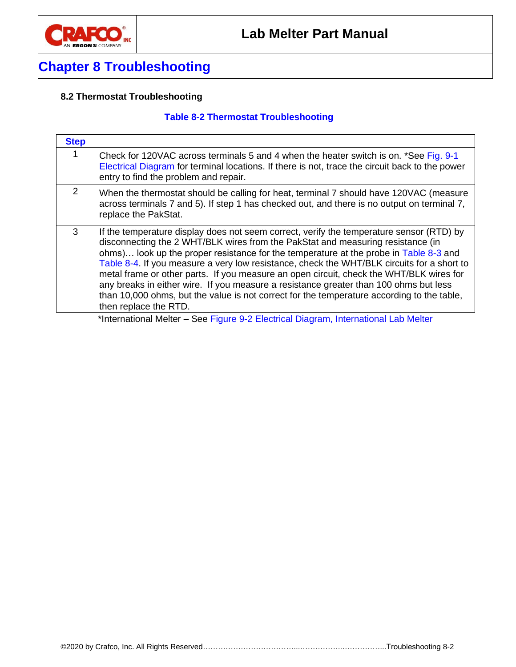

### <span id="page-33-1"></span><span id="page-33-0"></span>**8.2 Thermostat Troubleshooting**

### **Table 8-2 Thermostat Troubleshooting**

| <b>Step</b> |                                                                                                                                                                                                                                                                                                                                                                                                                                                                                                                                                                                                                                                                               |
|-------------|-------------------------------------------------------------------------------------------------------------------------------------------------------------------------------------------------------------------------------------------------------------------------------------------------------------------------------------------------------------------------------------------------------------------------------------------------------------------------------------------------------------------------------------------------------------------------------------------------------------------------------------------------------------------------------|
| 1           | Check for 120VAC across terminals 5 and 4 when the heater switch is on. *See Fig. 9-1<br>Electrical Diagram for terminal locations. If there is not, trace the circuit back to the power<br>entry to find the problem and repair.                                                                                                                                                                                                                                                                                                                                                                                                                                             |
| 2           | When the thermostat should be calling for heat, terminal 7 should have 120VAC (measure<br>across terminals 7 and 5). If step 1 has checked out, and there is no output on terminal 7,<br>replace the PakStat.                                                                                                                                                                                                                                                                                                                                                                                                                                                                 |
| 3           | If the temperature display does not seem correct, verify the temperature sensor (RTD) by<br>disconnecting the 2 WHT/BLK wires from the PakStat and measuring resistance (in<br>ohms) look up the proper resistance for the temperature at the probe in Table 8-3 and<br>Table 8-4. If you measure a very low resistance, check the WHT/BLK circuits for a short to<br>metal frame or other parts. If you measure an open circuit, check the WHT/BLK wires for<br>any breaks in either wire. If you measure a resistance greater than 100 ohms but less<br>than 10,000 ohms, but the value is not correct for the temperature according to the table.<br>then replace the RTD. |

\*International Melter – See Figure 9-2 [Electrical Diagram, International Lab Melter](#page-41-0)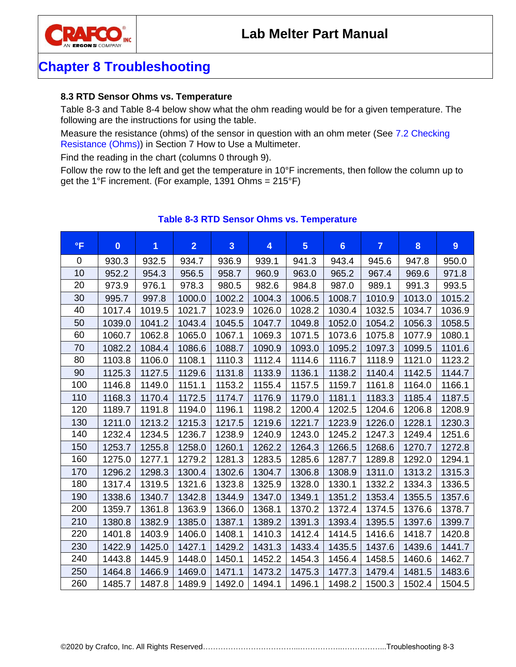



### <span id="page-34-0"></span>**8.3 RTD Sensor Ohms vs. Temperature**

Table 8-3 and Table 8-4 below show what the ohm reading would be for a given temperature. The following are the instructions for using the table.

Measure the resistance (ohms) of the sensor in question with an ohm meter (See [7.2](#page-28-2) [Checking](#page-28-2)  [Resistance \(Ohms\)\)](#page-28-2) in Section 7 How to Use a Multimeter.

Find the reading in the chart (columns 0 through 9).

Follow the row to the left and get the temperature in 10°F increments, then follow the column up to get the 1°F increment. (For example, 1391 Ohms = 215°F)

<span id="page-34-1"></span>

| $\mathsf{P}$ | $\bf{0}$ | 1      | $\overline{2}$ | $\overline{3}$ | $\overline{\mathbf{4}}$ | $5\phantom{.}$ | $6\phantom{a}$ | $\overline{7}$ | 8      | 9      |
|--------------|----------|--------|----------------|----------------|-------------------------|----------------|----------------|----------------|--------|--------|
| 0            | 930.3    | 932.5  | 934.7          | 936.9          | 939.1                   | 941.3          | 943.4          | 945.6          | 947.8  | 950.0  |
| 10           | 952.2    | 954.3  | 956.5          | 958.7          | 960.9                   | 963.0          | 965.2          | 967.4          | 969.6  | 971.8  |
| 20           | 973.9    | 976.1  | 978.3          | 980.5          | 982.6                   | 984.8          | 987.0          | 989.1          | 991.3  | 993.5  |
| 30           | 995.7    | 997.8  | 1000.0         | 1002.2         | 1004.3                  | 1006.5         | 1008.7         | 1010.9         | 1013.0 | 1015.2 |
| 40           | 1017.4   | 1019.5 | 1021.7         | 1023.9         | 1026.0                  | 1028.2         | 1030.4         | 1032.5         | 1034.7 | 1036.9 |
| 50           | 1039.0   | 1041.2 | 1043.4         | 1045.5         | 1047.7                  | 1049.8         | 1052.0         | 1054.2         | 1056.3 | 1058.5 |
| 60           | 1060.7   | 1062.8 | 1065.0         | 1067.1         | 1069.3                  | 1071.5         | 1073.6         | 1075.8         | 1077.9 | 1080.1 |
| 70           | 1082.2   | 1084.4 | 1086.6         | 1088.7         | 1090.9                  | 1093.0         | 1095.2         | 1097.3         | 1099.5 | 1101.6 |
| 80           | 1103.8   | 1106.0 | 1108.1         | 1110.3         | 1112.4                  | 1114.6         | 1116.7         | 1118.9         | 1121.0 | 1123.2 |
| 90           | 1125.3   | 1127.5 | 1129.6         | 1131.8         | 1133.9                  | 1136.1         | 1138.2         | 1140.4         | 1142.5 | 1144.7 |
| 100          | 1146.8   | 1149.0 | 1151.1         | 1153.2         | 1155.4                  | 1157.5         | 1159.7         | 1161.8         | 1164.0 | 1166.1 |
| 110          | 1168.3   | 1170.4 | 1172.5         | 1174.7         | 1176.9                  | 1179.0         | 1181.1         | 1183.3         | 1185.4 | 1187.5 |
| 120          | 1189.7   | 1191.8 | 1194.0         | 1196.1         | 1198.2                  | 1200.4         | 1202.5         | 1204.6         | 1206.8 | 1208.9 |
| 130          | 1211.0   | 1213.2 | 1215.3         | 1217.5         | 1219.6                  | 1221.7         | 1223.9         | 1226.0         | 1228.1 | 1230.3 |
| 140          | 1232.4   | 1234.5 | 1236.7         | 1238.9         | 1240.9                  | 1243.0         | 1245.2         | 1247.3         | 1249.4 | 1251.6 |
| 150          | 1253.7   | 1255.8 | 1258.0         | 1260.1         | 1262.2                  | 1264.3         | 1266.5         | 1268.6         | 1270.7 | 1272.8 |
| 160          | 1275.0   | 1277.1 | 1279.2         | 1281.3         | 1283.5                  | 1285.6         | 1287.7         | 1289.8         | 1292.0 | 1294.1 |
| 170          | 1296.2   | 1298.3 | 1300.4         | 1302.6         | 1304.7                  | 1306.8         | 1308.9         | 1311.0         | 1313.2 | 1315.3 |
| 180          | 1317.4   | 1319.5 | 1321.6         | 1323.8         | 1325.9                  | 1328.0         | 1330.1         | 1332.2         | 1334.3 | 1336.5 |
| 190          | 1338.6   | 1340.7 | 1342.8         | 1344.9         | 1347.0                  | 1349.1         | 1351.2         | 1353.4         | 1355.5 | 1357.6 |
| 200          | 1359.7   | 1361.8 | 1363.9         | 1366.0         | 1368.1                  | 1370.2         | 1372.4         | 1374.5         | 1376.6 | 1378.7 |
| 210          | 1380.8   | 1382.9 | 1385.0         | 1387.1         | 1389.2                  | 1391.3         | 1393.4         | 1395.5         | 1397.6 | 1399.7 |
| 220          | 1401.8   | 1403.9 | 1406.0         | 1408.1         | 1410.3                  | 1412.4         | 1414.5         | 1416.6         | 1418.7 | 1420.8 |
| 230          | 1422.9   | 1425.0 | 1427.1         | 1429.2         | 1431.3                  | 1433.4         | 1435.5         | 1437.6         | 1439.6 | 1441.7 |
| 240          | 1443.8   | 1445.9 | 1448.0         | 1450.1         | 1452.2                  | 1454.3         | 1456.4         | 1458.5         | 1460.6 | 1462.7 |
| 250          | 1464.8   | 1466.9 | 1469.0         | 1471.1         | 1473.2                  | 1475.3         | 1477.3         | 1479.4         | 1481.5 | 1483.6 |
| 260          | 1485.7   | 1487.8 | 1489.9         | 1492.0         | 1494.1                  | 1496.1         | 1498.2         | 1500.3         | 1502.4 | 1504.5 |

### **Table 8-3 RTD Sensor Ohms vs. Temperature**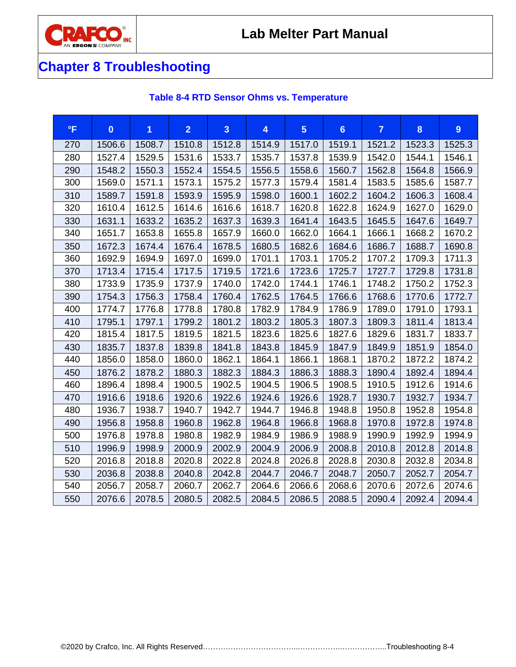

# **Chapter 8 Troubleshooting**

<span id="page-35-0"></span>

| $\mathsf{P}$ | $\bf{0}$ | 1      | $\overline{2}$ | $\overline{3}$ | 4      | $5\phantom{.}$ | 6 <sup>1</sup> | $\overline{7}$ | $\boldsymbol{8}$ | 9      |
|--------------|----------|--------|----------------|----------------|--------|----------------|----------------|----------------|------------------|--------|
| 270          | 1506.6   | 1508.7 | 1510.8         | 1512.8         | 1514.9 | 1517.0         | 1519.1         | 1521.2         | 1523.3           | 1525.3 |
| 280          | 1527.4   | 1529.5 | 1531.6         | 1533.7         | 1535.7 | 1537.8         | 1539.9         | 1542.0         | 1544.1           | 1546.1 |
| 290          | 1548.2   | 1550.3 | 1552.4         | 1554.5         | 1556.5 | 1558.6         | 1560.7         | 1562.8         | 1564.8           | 1566.9 |
| 300          | 1569.0   | 1571.1 | 1573.1         | 1575.2         | 1577.3 | 1579.4         | 1581.4         | 1583.5         | 1585.6           | 1587.7 |
| 310          | 1589.7   | 1591.8 | 1593.9         | 1595.9         | 1598.0 | 1600.1         | 1602.2         | 1604.2         | 1606.3           | 1608.4 |
| 320          | 1610.4   | 1612.5 | 1614.6         | 1616.6         | 1618.7 | 1620.8         | 1622.8         | 1624.9         | 1627.0           | 1629.0 |
| 330          | 1631.1   | 1633.2 | 1635.2         | 1637.3         | 1639.3 | 1641.4         | 1643.5         | 1645.5         | 1647.6           | 1649.7 |
| 340          | 1651.7   | 1653.8 | 1655.8         | 1657.9         | 1660.0 | 1662.0         | 1664.1         | 1666.1         | 1668.2           | 1670.2 |
| 350          | 1672.3   | 1674.4 | 1676.4         | 1678.5         | 1680.5 | 1682.6         | 1684.6         | 1686.7         | 1688.7           | 1690.8 |
| 360          | 1692.9   | 1694.9 | 1697.0         | 1699.0         | 1701.1 | 1703.1         | 1705.2         | 1707.2         | 1709.3           | 1711.3 |
| 370          | 1713.4   | 1715.4 | 1717.5         | 1719.5         | 1721.6 | 1723.6         | 1725.7         | 1727.7         | 1729.8           | 1731.8 |
| 380          | 1733.9   | 1735.9 | 1737.9         | 1740.0         | 1742.0 | 1744.1         | 1746.1         | 1748.2         | 1750.2           | 1752.3 |
| 390          | 1754.3   | 1756.3 | 1758.4         | 1760.4         | 1762.5 | 1764.5         | 1766.6         | 1768.6         | 1770.6           | 1772.7 |
| 400          | 1774.7   | 1776.8 | 1778.8         | 1780.8         | 1782.9 | 1784.9         | 1786.9         | 1789.0         | 1791.0           | 1793.1 |
| 410          | 1795.1   | 1797.1 | 1799.2         | 1801.2         | 1803.2 | 1805.3         | 1807.3         | 1809.3         | 1811.4           | 1813.4 |
| 420          | 1815.4   | 1817.5 | 1819.5         | 1821.5         | 1823.6 | 1825.6         | 1827.6         | 1829.6         | 1831.7           | 1833.7 |
| 430          | 1835.7   | 1837.8 | 1839.8         | 1841.8         | 1843.8 | 1845.9         | 1847.9         | 1849.9         | 1851.9           | 1854.0 |
| 440          | 1856.0   | 1858.0 | 1860.0         | 1862.1         | 1864.1 | 1866.1         | 1868.1         | 1870.2         | 1872.2           | 1874.2 |
| 450          | 1876.2   | 1878.2 | 1880.3         | 1882.3         | 1884.3 | 1886.3         | 1888.3         | 1890.4         | 1892.4           | 1894.4 |
| 460          | 1896.4   | 1898.4 | 1900.5         | 1902.5         | 1904.5 | 1906.5         | 1908.5         | 1910.5         | 1912.6           | 1914.6 |
| 470          | 1916.6   | 1918.6 | 1920.6         | 1922.6         | 1924.6 | 1926.6         | 1928.7         | 1930.7         | 1932.7           | 1934.7 |
| 480          | 1936.7   | 1938.7 | 1940.7         | 1942.7         | 1944.7 | 1946.8         | 1948.8         | 1950.8         | 1952.8           | 1954.8 |
| 490          | 1956.8   | 1958.8 | 1960.8         | 1962.8         | 1964.8 | 1966.8         | 1968.8         | 1970.8         | 1972.8           | 1974.8 |
| 500          | 1976.8   | 1978.8 | 1980.8         | 1982.9         | 1984.9 | 1986.9         | 1988.9         | 1990.9         | 1992.9           | 1994.9 |
| 510          | 1996.9   | 1998.9 | 2000.9         | 2002.9         | 2004.9 | 2006.9         | 2008.8         | 2010.8         | 2012.8           | 2014.8 |
| 520          | 2016.8   | 2018.8 | 2020.8         | 2022.8         | 2024.8 | 2026.8         | 2028.8         | 2030.8         | 2032.8           | 2034.8 |
| 530          | 2036.8   | 2038.8 | 2040.8         | 2042.8         | 2044.7 | 2046.7         | 2048.7         | 2050.7         | 2052.7           | 2054.7 |
| 540          | 2056.7   | 2058.7 | 2060.7         | 2062.7         | 2064.6 | 2066.6         | 2068.6         | 2070.6         | 2072.6           | 2074.6 |
| 550          | 2076.6   | 2078.5 | 2080.5         | 2082.5         | 2084.5 | 2086.5         | 2088.5         | 2090.4         | 2092.4           | 2094.4 |

### **Table 8-4 RTD Sensor Ohms vs. Temperature**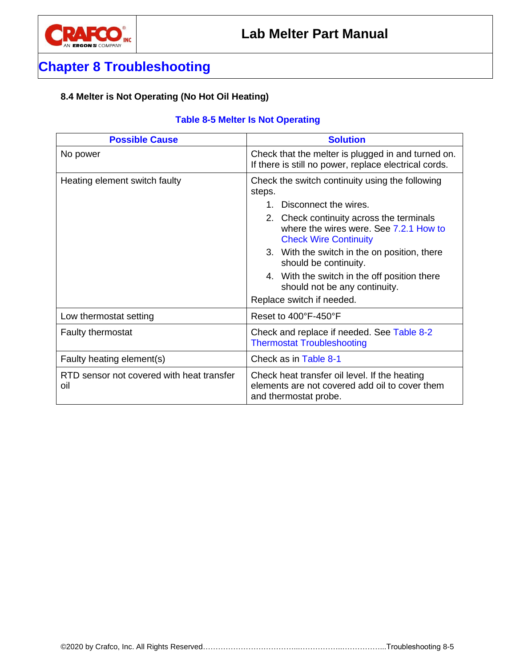

### <span id="page-36-0"></span>**8.4 Melter is Not Operating (No Hot Oil Heating)**

### <span id="page-36-1"></span>**Table 8-5 Melter Is Not Operating**

| <b>Possible Cause</b>                            | <b>Solution</b>                                                                                                                                                                                                                                                                                                                        |  |  |  |  |
|--------------------------------------------------|----------------------------------------------------------------------------------------------------------------------------------------------------------------------------------------------------------------------------------------------------------------------------------------------------------------------------------------|--|--|--|--|
| No power                                         | Check that the melter is plugged in and turned on.<br>If there is still no power, replace electrical cords.                                                                                                                                                                                                                            |  |  |  |  |
| Heating element switch faulty                    | Check the switch continuity using the following<br>steps.<br>Disconnect the wires.<br>1<br>2. Check continuity across the terminals<br>where the wires were. See 7.2.1 How to<br><b>Check Wire Continuity</b><br>3. With the switch in the on position, there<br>should be continuity.<br>4. With the switch in the off position there |  |  |  |  |
|                                                  | should not be any continuity.<br>Replace switch if needed.                                                                                                                                                                                                                                                                             |  |  |  |  |
| Low thermostat setting                           | Reset to 400°F-450°F                                                                                                                                                                                                                                                                                                                   |  |  |  |  |
| Faulty thermostat                                | Check and replace if needed. See Table 8-2<br><b>Thermostat Troubleshooting</b>                                                                                                                                                                                                                                                        |  |  |  |  |
| Faulty heating element(s)                        | Check as in Table 8-1                                                                                                                                                                                                                                                                                                                  |  |  |  |  |
| RTD sensor not covered with heat transfer<br>oil | Check heat transfer oil level. If the heating<br>elements are not covered add oil to cover them<br>and thermostat probe.                                                                                                                                                                                                               |  |  |  |  |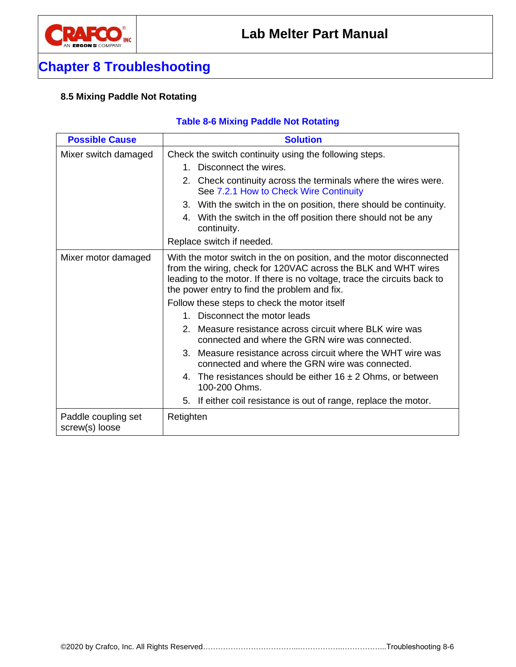

### <span id="page-37-0"></span>**8.5 Mixing Paddle Not Rotating**

### <span id="page-37-1"></span>**Table 8-6 Mixing Paddle Not Rotating**

| <b>Possible Cause</b>                 | <b>Solution</b>                                                                                                                                                                                                                                                    |  |  |  |  |
|---------------------------------------|--------------------------------------------------------------------------------------------------------------------------------------------------------------------------------------------------------------------------------------------------------------------|--|--|--|--|
| Mixer switch damaged                  | Check the switch continuity using the following steps.                                                                                                                                                                                                             |  |  |  |  |
|                                       | Disconnect the wires.<br>$1_{-}$                                                                                                                                                                                                                                   |  |  |  |  |
|                                       | 2. Check continuity across the terminals where the wires were.<br>See 7.2.1 How to Check Wire Continuity                                                                                                                                                           |  |  |  |  |
|                                       | 3. With the switch in the on position, there should be continuity.                                                                                                                                                                                                 |  |  |  |  |
|                                       | With the switch in the off position there should not be any<br>4.<br>continuity.                                                                                                                                                                                   |  |  |  |  |
|                                       | Replace switch if needed.                                                                                                                                                                                                                                          |  |  |  |  |
| Mixer motor damaged                   | With the motor switch in the on position, and the motor disconnected<br>from the wiring, check for 120VAC across the BLK and WHT wires<br>leading to the motor. If there is no voltage, trace the circuits back to<br>the power entry to find the problem and fix. |  |  |  |  |
|                                       | Follow these steps to check the motor itself                                                                                                                                                                                                                       |  |  |  |  |
|                                       | Disconnect the motor leads<br>$1_{-}$                                                                                                                                                                                                                              |  |  |  |  |
|                                       | 2. Measure resistance across circuit where BLK wire was<br>connected and where the GRN wire was connected.                                                                                                                                                         |  |  |  |  |
|                                       | 3. Measure resistance across circuit where the WHT wire was<br>connected and where the GRN wire was connected.                                                                                                                                                     |  |  |  |  |
|                                       | 4. The resistances should be either $16 \pm 2$ Ohms, or between<br>100-200 Ohms.                                                                                                                                                                                   |  |  |  |  |
|                                       | 5. If either coil resistance is out of range, replace the motor.                                                                                                                                                                                                   |  |  |  |  |
| Paddle coupling set<br>screw(s) loose | Retighten                                                                                                                                                                                                                                                          |  |  |  |  |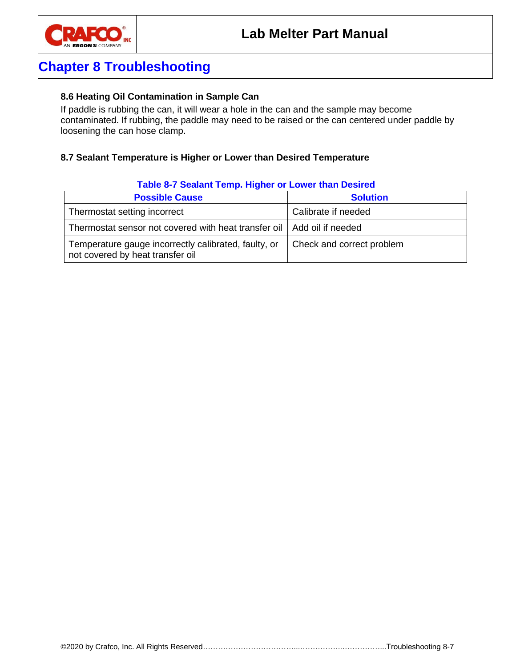

#### <span id="page-38-0"></span>**8.6 Heating Oil Contamination in Sample Can**

If paddle is rubbing the can, it will wear a hole in the can and the sample may become contaminated. If rubbing, the paddle may need to be raised or the can centered under paddle by loosening the can hose clamp.

#### <span id="page-38-1"></span>**8.7 Sealant Temperature is Higher or Lower than Desired Temperature**

| <b>Table 0 / Ocalahit Temp. Ingher of Lower than Desired</b>                             |                           |  |  |  |  |
|------------------------------------------------------------------------------------------|---------------------------|--|--|--|--|
| <b>Possible Cause</b>                                                                    | <b>Solution</b>           |  |  |  |  |
| Thermostat setting incorrect                                                             | Calibrate if needed       |  |  |  |  |
| Thermostat sensor not covered with heat transfer oil   Add oil if needed                 |                           |  |  |  |  |
| Temperature gauge incorrectly calibrated, faulty, or<br>not covered by heat transfer oil | Check and correct problem |  |  |  |  |

#### <span id="page-38-2"></span>**Table 8-7 Sealant Temp. Higher or Lower than Desired**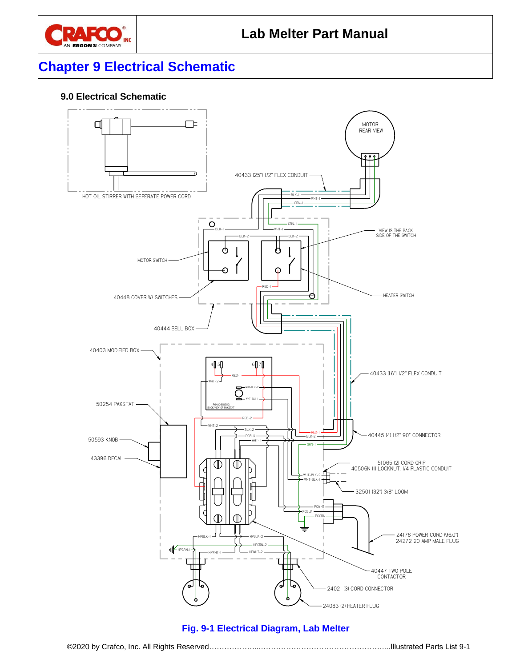

# **Chapter 9 Electrical Schematic**

### <span id="page-40-0"></span>**9.0 Electrical Schematic**

<span id="page-40-1"></span>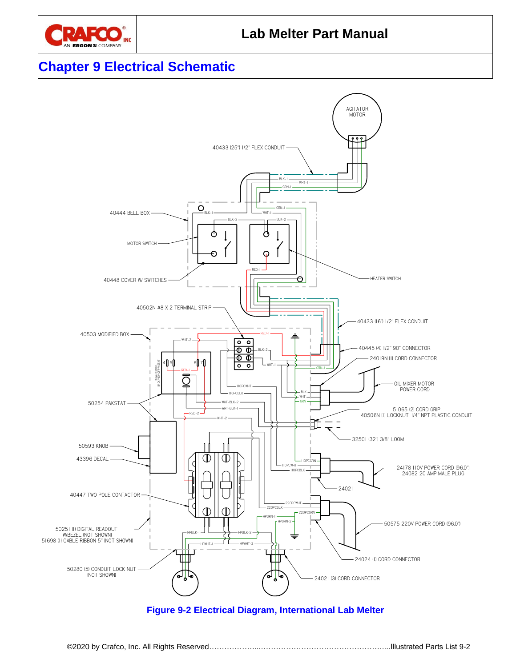

# **Chapter 9 Electrical Schematic**



<span id="page-41-0"></span>**Figure 9-2 Electrical Diagram, International Lab Melter**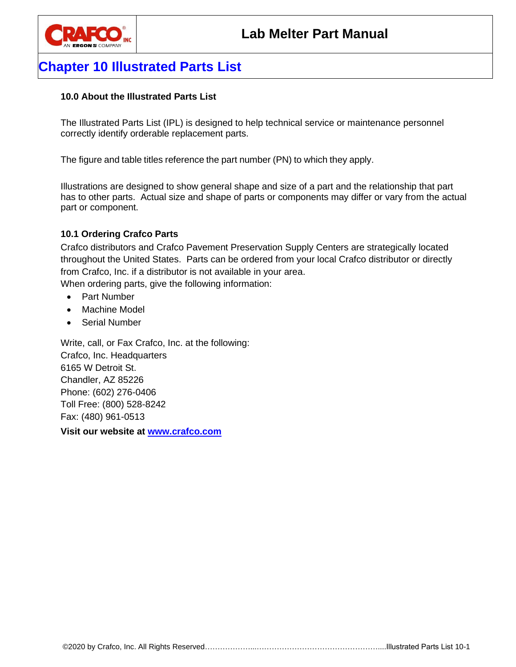

# **Chapter 10 Illustrated Parts List**

### <span id="page-42-0"></span>**10.0 About the Illustrated Parts List**

The Illustrated Parts List (IPL) is designed to help technical service or maintenance personnel correctly identify orderable replacement parts.

The figure and table titles reference the part number (PN) to which they apply.

Illustrations are designed to show general shape and size of a part and the relationship that part has to other parts. Actual size and shape of parts or components may differ or vary from the actual part or component.

### <span id="page-42-1"></span>**10.1 Ordering Crafco Parts**

Crafco distributors and Crafco Pavement Preservation Supply Centers are strategically located throughout the United States. Parts can be ordered from your local Crafco distributor or directly from Crafco, Inc. if a distributor is not available in your area. When ordering parts, give the following information:

- Part Number
- Machine Model
- Serial Number

Write, call, or Fax Crafco, Inc. at the following: Crafco, Inc. Headquarters 6165 W Detroit St. Chandler, AZ 85226 Phone: (602) 276-0406 Toll Free: (800) 528-8242 Fax: (480) 961-0513

**Visit our website at [www.crafco.com](file:///C:/Users/DLT/AppData/Roaming/Microsoft/Word/www.crafco.com)**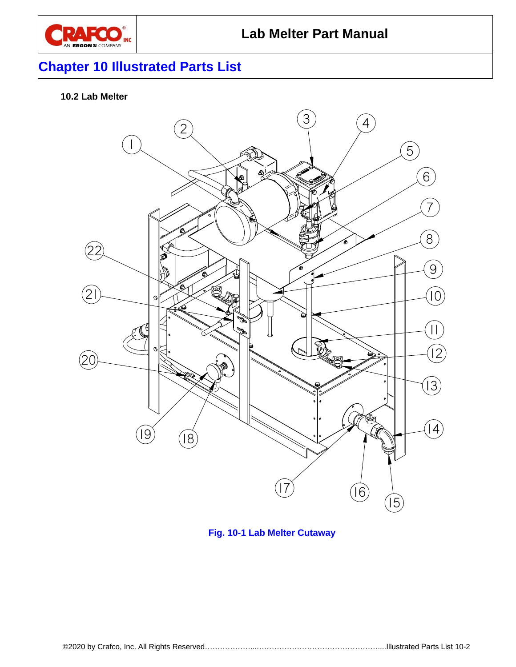

# **Chapter 10 Illustrated Parts List**

### <span id="page-43-0"></span>**10.2 Lab Melter**



<span id="page-43-1"></span>**Fig. 10-1 Lab Melter Cutaway**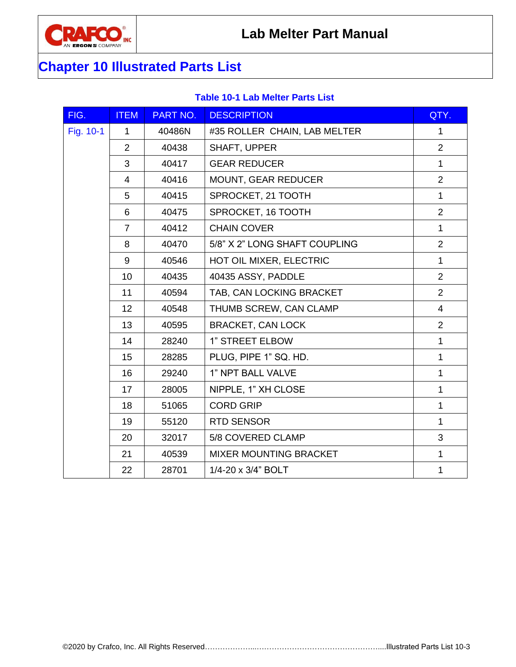

# **Chapter 10 Illustrated Parts List**

### **Table 10-1 Lab Melter Parts List**

<span id="page-44-0"></span>

| FIG.      | <b>ITEM</b>    | PART NO. | <b>DESCRIPTION</b>            | QTY.           |
|-----------|----------------|----------|-------------------------------|----------------|
| Fig. 10-1 | $\mathbf{1}$   | 40486N   | #35 ROLLER CHAIN, LAB MELTER  | $\mathbf{1}$   |
|           | $\overline{2}$ | 40438    | SHAFT, UPPER                  | $\overline{2}$ |
|           | 3              | 40417    | <b>GEAR REDUCER</b>           | $\mathbf{1}$   |
|           | 4              | 40416    | <b>MOUNT, GEAR REDUCER</b>    | $\overline{2}$ |
|           | 5              | 40415    | SPROCKET, 21 TOOTH            | $\mathbf{1}$   |
|           | 6              | 40475    | SPROCKET, 16 TOOTH            | $\overline{2}$ |
|           | $\overline{7}$ | 40412    | <b>CHAIN COVER</b>            | $\mathbf{1}$   |
|           | 8              | 40470    | 5/8" X 2" LONG SHAFT COUPLING | $\overline{2}$ |
|           | 9              | 40546    | HOT OIL MIXER, ELECTRIC       | $\mathbf{1}$   |
|           | 10             | 40435    | 40435 ASSY, PADDLE            | 2              |
|           | 11             | 40594    | TAB, CAN LOCKING BRACKET      | $\overline{2}$ |
|           | 12             | 40548    | THUMB SCREW, CAN CLAMP        | $\overline{4}$ |
|           | 13             | 40595    | <b>BRACKET, CAN LOCK</b>      | $\overline{2}$ |
|           | 14             | 28240    | 1" STREET ELBOW               | $\mathbf{1}$   |
|           | 15             | 28285    | PLUG, PIPE 1" SQ. HD.         | $\mathbf{1}$   |
|           | 16             | 29240    | 1" NPT BALL VALVE             | $\mathbf{1}$   |
|           | 17             | 28005    | NIPPLE, 1" XH CLOSE           | $\mathbf{1}$   |
|           | 18             | 51065    | <b>CORD GRIP</b>              | $\mathbf{1}$   |
|           | 19             | 55120    | <b>RTD SENSOR</b>             | $\mathbf{1}$   |
|           | 20             | 32017    | 5/8 COVERED CLAMP             | 3              |
|           | 21             | 40539    | <b>MIXER MOUNTING BRACKET</b> | $\mathbf{1}$   |
|           | 22             | 28701    | 1/4-20 x 3/4" BOLT            | $\mathbf{1}$   |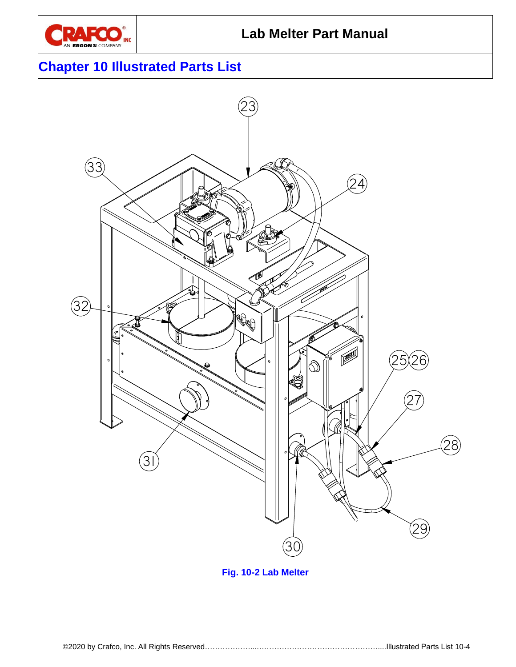

# **Chapter 10 Illustrated Parts List**



<span id="page-45-0"></span>**Fig. 10-2 Lab Melter**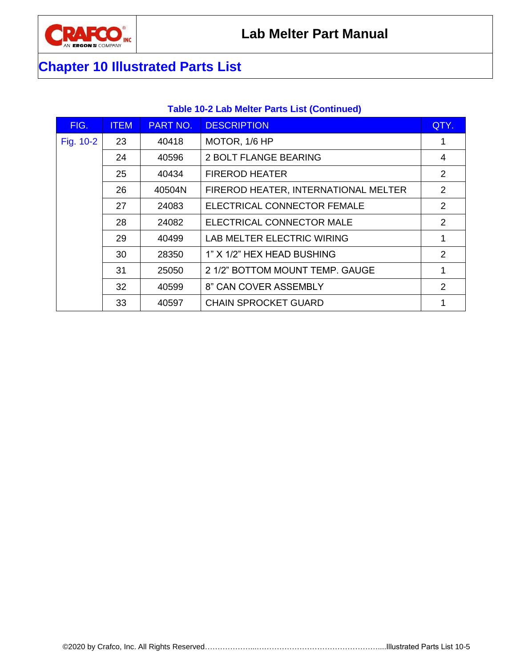

# **Chapter 10 Illustrated Parts List**

### **Table 10-2 Lab Melter Parts List (Continued)**

<span id="page-46-0"></span>

| FIG.      | <b>ITEM</b> | PART NO. | <b>DESCRIPTION</b>                   | QTY. |
|-----------|-------------|----------|--------------------------------------|------|
| Fig. 10-2 | 23          | 40418    | MOTOR, 1/6 HP                        |      |
|           | 24          | 40596    | <b>2 BOLT FLANGE BEARING</b>         | 4    |
|           | 25          | 40434    | <b>FIREROD HEATER</b>                | 2    |
|           | 26          | 40504N   | FIREROD HEATER, INTERNATIONAL MELTER | 2    |
|           | 27          | 24083    | ELECTRICAL CONNECTOR FEMALE          | 2    |
|           | 28          | 24082    | ELECTRICAL CONNECTOR MALE            | 2    |
|           | 29          | 40499    | LAB MELTER ELECTRIC WIRING           | 1    |
|           | 30          | 28350    | 1" X 1/2" HEX HEAD BUSHING           | 2    |
|           | 31          | 25050    | 2 1/2" BOTTOM MOUNT TEMP. GAUGE      | 1    |
|           | 32          | 40599    | 8" CAN COVER ASSEMBLY                | 2    |
|           | 33          | 40597    | <b>CHAIN SPROCKET GUARD</b>          |      |